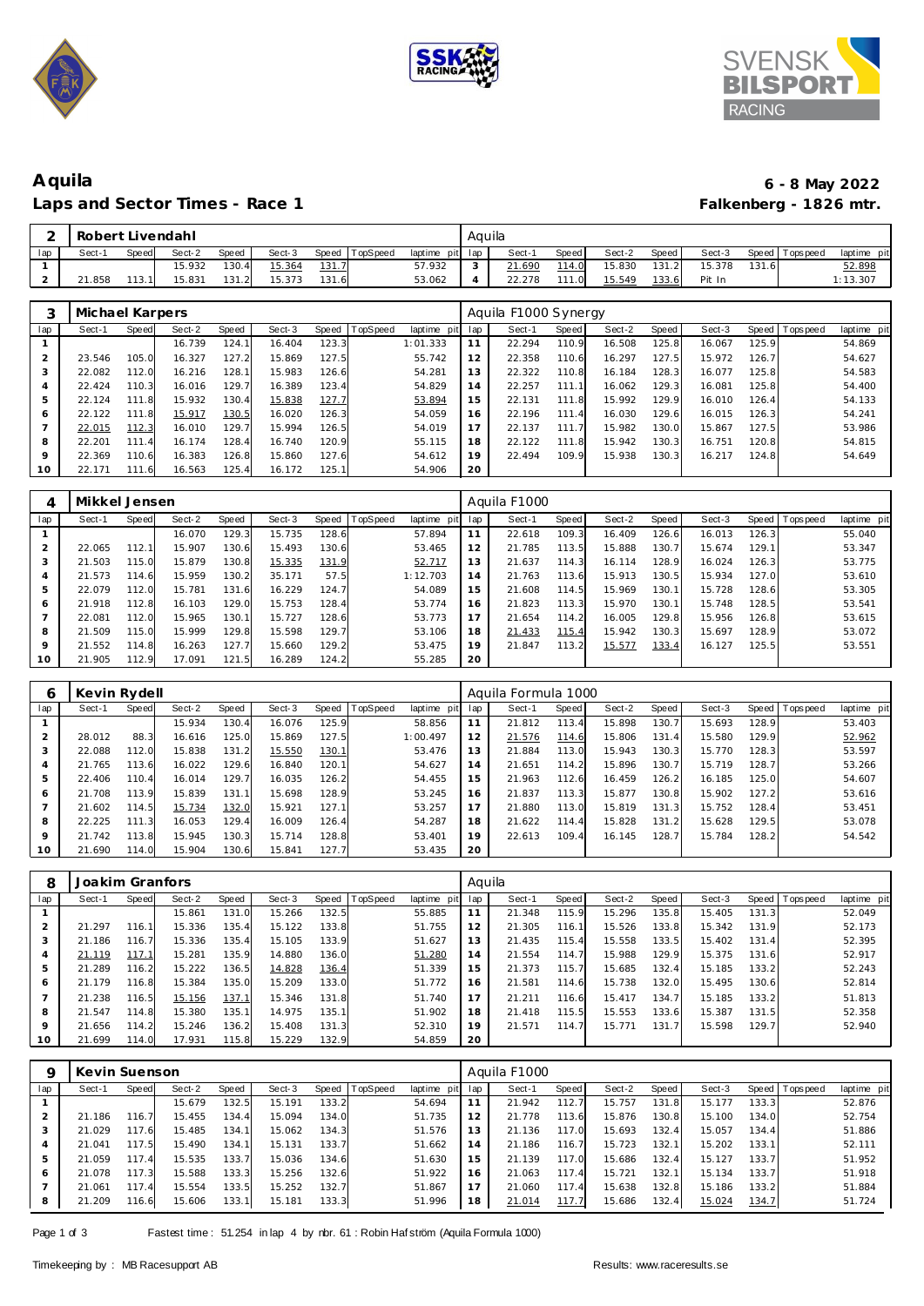





## **Aquila 6 - 8 May 2022** Laps and Sector Times - Race 1

|     | Robert Livendahl |       |        |       |        |       |          |                 | Aquila |        |       |        |         |        |        |           |             |
|-----|------------------|-------|--------|-------|--------|-------|----------|-----------------|--------|--------|-------|--------|---------|--------|--------|-----------|-------------|
| lap | Sect-1           | Speed | Sect-2 | Speed | Sect-3 | Speed | TopSpeed | laptime pit lap |        | Sect-1 | Speed | Sect-2 | Speed I | Sect-3 | Speed  | Tops peed | laptime pit |
|     |                  |       | 15.932 | 130.4 | 15.364 | 131.7 |          | 57.932          |        | 21.690 | 114.0 | 15.830 | 131.2   | 15.378 | 131.61 |           | 52.898      |
|     | 21.858           |       | 15.831 | 131.2 | 15.373 | 131.6 |          | 53.062          |        | 22.278 | 111.0 | 15.549 | 133.6   | Pit In |        |           | 1:13.307    |

|         | Michael Karpers |       |        |       |        |       |          |             |     | Aquila F1000 Synergy |       |        |       |        |       |                |             |
|---------|-----------------|-------|--------|-------|--------|-------|----------|-------------|-----|----------------------|-------|--------|-------|--------|-------|----------------|-------------|
| lap     | Sect-1          | Speed | Sect-2 | Speed | Sect-3 | Speed | TopSpeed | laptime pit | lap | Sect-1               | Speed | Sect-2 | Speed | Sect-3 |       | Speed Topspeed | laptime pit |
|         |                 |       | 16.739 | 124.1 | 16.404 | 123.3 |          | 1:01.333    | 11  | 22.294               | 110.9 | 16.508 | 125.8 | 16.067 | 125.9 |                | 54.869      |
|         | 23.546          | 105.0 | 16.327 | 127.2 | 15.869 | 127.5 |          | 55.742      | 12  | 22.358               | 110.6 | 16.297 | 127.5 | 15.972 | 126.7 |                | 54.627      |
| 3       | 22.082          | 112.0 | 16.216 | 128.1 | 15.983 | 126.6 |          | 54.281      | 13  | 22.322               | 110.8 | 16.184 | 128.3 | 16.077 | 125.8 |                | 54.583      |
| 4       | 22.424          | 110.3 | 16.016 | 129.7 | 16.389 | 123.4 |          | 54.829      | 14  | 22.257               | 111.1 | 16.062 | 129.3 | 16.081 | 125.8 |                | 54.400      |
| 5       | 22.124          | 111.8 | 15.932 | 130.4 | 15.838 | 127.7 |          | 53.894      | 15  | 22.131               | 111.8 | 15.992 | 129.9 | 16.010 | 126.4 |                | 54.133      |
| 6       | 22.122          | 111.8 | 15.917 | 130.5 | 16.020 | 126.3 |          | 54.059      | 16  | 22.196               | 111.4 | 16.030 | 129.6 | 16.015 | 126.3 |                | 54.241      |
|         | 22.015          | 112.3 | 16.010 | 129.7 | 15.994 | 126.5 |          | 54.019      | 17  | 22.137               | 111.7 | 15.982 | 130.0 | 15.867 | 127.5 |                | 53.986      |
| 8       | 22.201          | 111.4 | 16.174 | 128.4 | 16.740 | 120.9 |          | 55.115      | 18  | 22.122               | 111.8 | 15.942 | 130.3 | 16.751 | 120.8 |                | 54.815      |
| $\circ$ | 22.369          | 110.6 | 16.383 | 126.8 | 15.860 | 127.6 |          | 54.612      | 19  | 22.494               | 109.9 | 15.938 | 130.3 | 16.217 | 124.8 |                | 54.649      |
| 10      | 22.171          | 111.6 | 16.563 | 125.4 | 16.172 | 125.1 |          | 54.906      | 20  |                      |       |        |       |        |       |                |             |

| 4       | Mikkel Jensen |       |        |       |        |              |          |                |     | Aquila F1000 |       |        |       |        |       |                |             |
|---------|---------------|-------|--------|-------|--------|--------------|----------|----------------|-----|--------------|-------|--------|-------|--------|-------|----------------|-------------|
| lap     | Sect-1        | Speed | Sect-2 | Speed | Sect-3 | Speed        | TopSpeed | laptime<br>pit | lap | Sect-1       | Speed | Sect-2 | Speed | Sect-3 |       | Speed Topspeed | laptime pit |
|         |               |       | 16.070 | 129.3 | 15.735 | 128.6        |          | 57.894         | 11  | 22.618       | 109.3 | 16.409 | 126.6 | 16.013 | 126.3 |                | 55.040      |
|         | 22.065        | 112.1 | 15.907 | 130.6 | 15.493 | 130.6        |          | 53.465         | 12  | 21.785       | 113.5 | 15.888 | 130.7 | 15.674 | 129.1 |                | 53.347      |
|         | 21.503        | 115.0 | 15.879 | 130.8 | 15.335 | <u>131.9</u> |          | 52.717         | 13  | 21.637       | 114.3 | 16.114 | 128.9 | 16.024 | 126.3 |                | 53.775      |
|         | 21.573        | 114.6 | 15.959 | 130.2 | 35.171 | 57.5         |          | 1:12.703       | 14  | 21.763       | 113.6 | 15.913 | 130.5 | 15.934 | 127.0 |                | 53.610      |
|         | 22.079        | 112.0 | 15.781 | 131.6 | 16.229 | 124.7        |          | 54.089         | 15  | 21.608       | 114.5 | 15.969 | 130.1 | 15.728 | 128.6 |                | 53.305      |
| 6       | 21.918        | 112.8 | 16.103 | 129.0 | 15.753 | 128.4        |          | 53.774         | 16  | 21.823       | 113.3 | 15.970 | 130.1 | 15.748 | 128.5 |                | 53.541      |
|         | 22.081        | 112.0 | 15.965 | 130.1 | 15.727 | 128.6        |          | 53.773         | 17  | 21.654       | 114.2 | 16.005 | 129.8 | 15.956 | 126.8 |                | 53.615      |
| 8       | 21.509        | 115.0 | 15.999 | 129.8 | 15.598 | 129.7        |          | 53.106         | 18  | 21.433       | 115.4 | 15.942 | 130.3 | 15.697 | 128.9 |                | 53.072      |
| $\circ$ | 21.552        | 114.8 | 16.263 | 127.7 | 15.660 | 129.2        |          | 53.475         | 19  | 21.847       | 113.2 | 15.577 | 133.4 | 16.127 | 125.5 |                | 53.551      |
| 10      | 21.905        | 112.9 | 17.091 | 121.5 | 16.289 | 124.2        |          | 55.285         | 20  |              |       |        |       |        |       |                |             |

|         | Kevin Rydell |       |        |       |        |               |          |             |     | Aquila Formula 1000 |       |        |       |        |       |                 |             |
|---------|--------------|-------|--------|-------|--------|---------------|----------|-------------|-----|---------------------|-------|--------|-------|--------|-------|-----------------|-------------|
| lap     | Sect-1       | Speed | Sect-2 | Speed | Sect-3 | Speed         | TopSpeed | laptime pit | lap | Sect-1              | Speed | Sect-2 | Speed | Sect-3 |       | Speed Tops peed | laptime pit |
|         |              |       | 15.934 | 130.4 | 16.076 | 125.9         |          | 58.856      | 11  | 21.812              | 113.4 | 15.898 | 130.7 | 15.693 | 128.9 |                 | 53.403      |
|         | 28.012       | 88.3  | 16.616 | 125.0 | 15.869 | 127.5         |          | 1:00.497    | 12  | 21.576              | 114.6 | 15.806 | 131.4 | 15.580 | 129.9 |                 | 52.962      |
| 3       | 22.088       | 112.0 | 15.838 | 131.2 | 15.550 | <u> 130.1</u> |          | 53.476      | 13  | 21.884              | 113.0 | 15.943 | 130.3 | 15.770 | 128.3 |                 | 53.597      |
| 4       | 21.765       | 113.6 | 16.022 | 129.6 | 16.840 | 120.1         |          | 54.627      | 14  | 21.651              | 114.2 | 15.896 | 130.7 | 15.719 | 128.7 |                 | 53.266      |
| 5       | 22.406       | 110.4 | 16.014 | 129.7 | 16.035 | 126.2         |          | 54.455      | 15  | 21.963              | 112.6 | 16.459 | 126.2 | 16.185 | 125.0 |                 | 54.607      |
| 6       | 21.708       | 113.9 | 15.839 | 131.1 | 15.698 | 128.9         |          | 53.245      | 16  | 21.837              | 113.3 | 15.877 | 130.8 | 15.902 | 127.2 |                 | 53.616      |
|         | 21.602       | 114.5 | 15.734 | 132.0 | 15.921 | 127.1         |          | 53.257      | 17  | 21.880              | 113.0 | 15.819 | 131.3 | 15.752 | 128.4 |                 | 53.451      |
| 8       | 22.225       | 111.3 | 16.053 | 129.4 | 16.009 | 126.4         |          | 54.287      | 18  | 21.622              | 114.4 | 15.828 | 131.2 | 15.628 | 129.5 |                 | 53.078      |
| $\circ$ | 21.742       | 113.8 | 15.945 | 130.3 | 15.714 | 128.8         |          | 53.401      | 19  | 22.613              | 109.4 | 16.145 | 128.7 | 15.784 | 128.2 |                 | 54.542      |
| 10      | 21.690       | 114.0 | 15.904 | 130.6 | 15.841 | 127.7         |          | 53.435      | 20  |                     |       |        |       |        |       |                 |             |

| 8   | Joakim Granfors |       |        |       |        |       |                 |             | Aquila          |        |       |        |       |        |       |                |             |
|-----|-----------------|-------|--------|-------|--------|-------|-----------------|-------------|-----------------|--------|-------|--------|-------|--------|-------|----------------|-------------|
| lap | Sect-1          | Speed | Sect-2 | Speed | Sect-3 | Speed | <b>TopSpeed</b> | laptime pit | lap             | Sect-1 | Speed | Sect-2 | Speed | Sect-3 |       | Speed Topspeed | laptime pit |
|     |                 |       | 15.861 | 131.0 | 15.266 | 132.5 |                 | 55.885      |                 | 21.348 | 115.9 | 15.296 | 135.8 | 15.405 | 131.3 |                | 52.049      |
|     | 21.297          | 116.1 | 15.336 | 135.4 | 15.122 | 133.8 |                 | 51.755      | 12 <sup>1</sup> | 21.305 | 116.1 | 15.526 | 133.8 | 15.342 | 131.9 |                | 52.173      |
| 3   | 21.186          | 116.7 | 15.336 | 135.4 | 15.105 | 133.9 |                 | 51.627      | 13              | 21.435 | 115.4 | 15.558 | 133.5 | 15.402 | 131.4 |                | 52.395      |
| 4   | 21.119          | 117.1 | 15.281 | 135.9 | 14.880 | 136.0 |                 | 51.280      | 14              | 21.554 | 114.7 | 15.988 | 129.9 | 15.375 | 131.6 |                | 52.917      |
| 5   | 21.289          | 116.2 | 15.222 | 136.5 | 14.828 | 136.4 |                 | 51.339      | 15              | 21.373 | 115.7 | 15.685 | 132.4 | 15.185 | 133.2 |                | 52.243      |
| 6   | 21.179          | 116.8 | 15.384 | 135.0 | 15.209 | 133.0 |                 | 51.772      | 16              | 21.581 | 114.6 | 15.738 | 132.0 | 15.495 | 130.6 |                | 52.814      |
|     | 21.238          | 116.5 | 15.156 | 137.1 | 15.346 | 131.8 |                 | 51.740      | 17              | 21.211 | 116.6 | 15.417 | 134.7 | 15.185 | 133.2 |                | 51.813      |
| 8   | 21.547          | 114.8 | 15.380 | 135.1 | 14.975 | 135.1 |                 | 51.902      | 18              | 21.418 | 115.5 | 15.553 | 133.6 | 15.387 | 131.5 |                | 52.358      |
| 9   | 21.656          | 114.2 | 15.246 | 136.2 | 15.408 | 131.3 |                 | 52.310      | 19              | 21.571 | 114.7 | 15.771 | 131.7 | 15.598 | 129.7 |                | 52.940      |
| 10  | 21.699          | 114.0 | 17.931 | 115.8 | 15.229 | 132.9 |                 | 54.859      | 20              |        |       |        |       |        |       |                |             |

|     | Kevin Suenson |       |        |       |        |       |                |             |     | Aquila F1000 |       |        |       |        |       |                   |             |
|-----|---------------|-------|--------|-------|--------|-------|----------------|-------------|-----|--------------|-------|--------|-------|--------|-------|-------------------|-------------|
| lap | Sect-1        | Speed | Sect-2 | Speed | Sect-3 |       | Speed TopSpeed | laptime pit | lap | Sect-1       | Speed | Sect-2 | Speed | Sect-3 |       | Speed   Tops peed | laptime pit |
|     |               |       | 15.679 | 132.5 | 15.191 | 133.2 |                | 54.694      | 11  | 21.942       | 112.7 | 15.757 | 131.8 | 15.177 | 133.3 |                   | 52.876      |
| 2   | 21.186        | 116.7 | 15.455 | 134.4 | 15.094 | 134.0 |                | 51.735      | 12  | 21.778       | 113.6 | 15.876 | 130.8 | 15.100 | 134.0 |                   | 52.754      |
| 3   | 21.029        | 117.6 | 15.485 | 134.1 | 15.062 | 134.3 |                | 51.576      | 13  | 21.136       | 117.0 | 15.693 | 132.4 | 15.057 | 134.4 |                   | 51.886      |
| 4   | 21.041        | 117.5 | 15.490 | 134.7 | 15.131 | 133.7 |                | 51.662      | 14  | 21.186       | 116.7 | 15.723 | 132.1 | 15.202 | 133.1 |                   | 52.111      |
| 5   | 21.059        | 117.4 | 15.535 | 133.7 | 15.036 | 134.6 |                | 51.630      | 15  | 21.139       | 117.0 | 15.686 | 132.4 | 15.127 | 133.7 |                   | 51.952      |
| 6   | 21.078        | 117.3 | 15.588 | 133.3 | 15.256 | 132.6 |                | 51.922      | 16  | 21.063       | 117.4 | 15.721 | 132.1 | 15.134 | 133.7 |                   | 51.918      |
|     | 21.061        | 117.4 | 15.554 | 133.5 | 15.252 | 132.7 |                | 51.867      | 17  | 21.060       | 117.4 | 15.638 | 132.8 | 15.186 | 133.2 |                   | 51.884      |
| 8   | 21.209        | 116.6 | 15.606 | 133.1 | 15.181 | 133.3 |                | 51.996      | 18  | 21.014       | 117.7 | 15.686 | 132.4 | 15.024 | 134.7 |                   | 51.724      |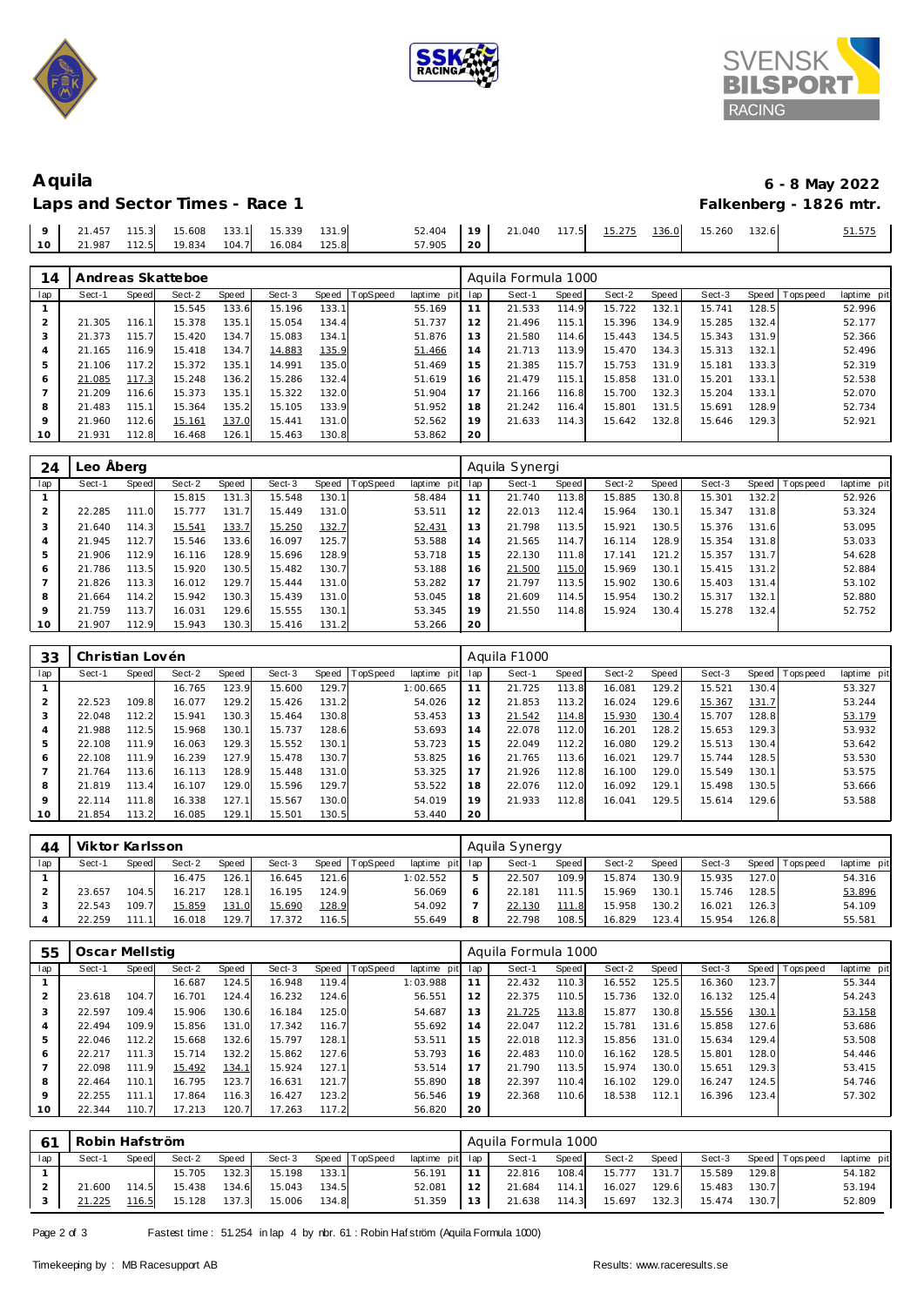





Laps and Sector Times - Race 1

| Aquila                         | 6 - 8 May 2022         |
|--------------------------------|------------------------|
| Laps and Sector Times - Race 1 | Falkenberg - 1826 mtr. |

|  |  |                                             |               |  |  | 52.404   19   21.040 117.5  15.275  136.0  15.260  132.6 | 51.575 |
|--|--|---------------------------------------------|---------------|--|--|----------------------------------------------------------|--------|
|  |  | 10   21.987 112.5 19.834 104.7 16.084 125.8 | $57.905$   20 |  |  |                                                          |        |

| 14      |        |              | Andreas Skatteboe |       |        |       |                 |             |     | Aquila Formula 1000 |       |        |       |        |       |                |             |
|---------|--------|--------------|-------------------|-------|--------|-------|-----------------|-------------|-----|---------------------|-------|--------|-------|--------|-------|----------------|-------------|
| lap     | Sect-1 | <b>Speed</b> | Sect-2            | Speed | Sect-3 | Speed | <b>TopSpeed</b> | laptime pit | lap | Sect-1              | Speed | Sect-2 | Speed | Sect-3 |       | Speed Topspeed | laptime pit |
|         |        |              | 15.545            | 133.6 | 15.196 | 133.1 |                 | 55.169      | 11  | 21.533              | 114.9 | 15.722 | 132.1 | 15.741 | 128.5 |                | 52.996      |
|         | 21.305 | 116.1        | 15.378            | 135.1 | 15.054 | 134.4 |                 | 51.737      | 12  | 21.496              | 115.1 | 15.396 | 134.9 | 15.285 | 132.4 |                | 52.177      |
|         | 21.373 | 115.7        | 15.420            | 134.7 | 15.083 | 134.1 |                 | 51.876      | 13  | 21.580              | 114.6 | 15.443 | 134.5 | 15.343 | 131.9 |                | 52.366      |
|         | 21.165 | 116.9        | 15.418            | 134.7 | 14.883 | 135.9 |                 | 51.466      | 14  | 21.713              | 113.9 | 15.470 | 134.3 | 15.313 | 132.1 |                | 52.496      |
| 5       | 21.106 | 117.2        | 15.372            | 135.1 | 14.991 | 135.0 |                 | 51.469      | 15  | 21.385              | 115.7 | 15.753 | 131.9 | 15.181 | 133.3 |                | 52.319      |
| 6       | 21.085 | 117.3        | 15.248            | 136.2 | 15.286 | 132.4 |                 | 51.619      | 16  | 21.479              | 115.1 | 15.858 | 131.0 | 15.201 | 133.1 |                | 52.538      |
|         | 21.209 | 116.6        | 15.373            | 135.1 | 15.322 | 132.0 |                 | 51.904      | 17  | 21.166              | 116.8 | 15.700 | 132.3 | 15.204 | 133.1 |                | 52.070      |
| 8       | 21.483 | 115.1        | 15.364            | 135.2 | 15.105 | 133.9 |                 | 51.952      | 18  | 21.242              | 116.4 | 15.801 | 131.5 | 15.691 | 128.9 |                | 52.734      |
| $\circ$ | 21.960 | 112.6        | 15.161            | 137.0 | 15.441 | 131.0 |                 | 52.562      | 19  | 21.633              | 114.3 | 15.642 | 132.8 | 15.646 | 129.3 |                | 52.921      |
| 10      | 21.931 | 112.8        | 16.468            | 126.1 | 15.463 | 130.8 |                 | 53.862      | 20  |                     |       |        |       |        |       |                |             |

| 24  | Leo Åberg |       |        |       |        |       |          |             |     | Aquila Synergi |       |        |       |        |       |                |             |
|-----|-----------|-------|--------|-------|--------|-------|----------|-------------|-----|----------------|-------|--------|-------|--------|-------|----------------|-------------|
| lap | Sect-1    | Speed | Sect-2 | Speed | Sect-3 | Speed | TopSpeed | laptime pit | lap | Sect-1         | Speed | Sect-2 | Speed | Sect-3 |       | Speed Topspeed | laptime pit |
|     |           |       | 15.815 | 131.3 | 15.548 | 130.1 |          | 58.484      |     | 21.740         | 113.8 | 15.885 | 130.8 | 15.301 | 132.2 |                | 52.926      |
|     | 22.285    | 111.0 | 15.777 | 131.7 | 15.449 | 131.0 |          | 53.511      | 12  | 22.013         | 112.4 | 15.964 | 130.1 | 15.347 | 131.8 |                | 53.324      |
| 3   | 21.640    | 114.3 | 15.541 | 133.7 | 15.250 | 132.7 |          | 52.431      | 13  | 21.798         | 113.5 | 15.921 | 130.5 | 15.376 | 131.6 |                | 53.095      |
| 4   | 21.945    | 112.7 | 15.546 | 133.6 | 16.097 | 125.7 |          | 53.588      | 14  | 21.565         | 114.7 | 16.114 | 128.9 | 15.354 | 131.8 |                | 53.033      |
| 5   | 21.906    | 112.9 | 16.116 | 128.9 | 15.696 | 128.9 |          | 53.718      | 15  | 22.130         | 111.8 | 17.141 | 121.2 | 15.357 | 131.7 |                | 54.628      |
| 6   | 21.786    | 113.5 | 15.920 | 130.5 | 15.482 | 130.7 |          | 53.188      | 16  | 21.500         | 115.0 | 15.969 | 130.1 | 15.415 | 131.2 |                | 52.884      |
|     | 21.826    | 113.3 | 16.012 | 129.7 | 15.444 | 131.0 |          | 53.282      | 17  | 21.797         | 113.5 | 15.902 | 130.6 | 15.403 | 131.4 |                | 53.102      |
| 8   | 21.664    | 114.2 | 15.942 | 130.3 | 15.439 | 131.0 |          | 53.045      | 18  | 21.609         | 114.5 | 15.954 | 130.2 | 15.317 | 132.1 |                | 52.880      |
| 9   | 21.759    | 113.7 | 16.031 | 129.6 | 15.555 | 130.1 |          | 53.345      | 19  | 21.550         | 114.8 | 15.924 | 130.4 | 15.278 | 132.4 |                | 52.752      |
| 10  | 21.907    | 112.9 | 15.943 | 130.3 | 15.416 | 131.2 |          | 53.266      | 20  |                |       |        |       |        |       |                |             |

| 33      |        | Christian Lovén |        |       |        |       |         |             |     | Aguila F1000 |       |        |       |        |       |            |             |
|---------|--------|-----------------|--------|-------|--------|-------|---------|-------------|-----|--------------|-------|--------|-------|--------|-------|------------|-------------|
| lap     | Sect-1 | Speed           | Sect-2 | Speed | Sect-3 | Speed | opSpeed | laptime pit | lap | Sect-1       | Speed | Sect-2 | Speed | Sect-3 | Speed | T ops peed | laptime pit |
|         |        |                 | 16.765 | 123.9 | 15.600 | 129.7 |         | 1:00.665    |     | 21.725       | 113.8 | 16.081 | 129.2 | 15.521 | 130.4 |            | 53.327      |
|         | 22.523 | 109.8           | 16.077 | 129.2 | 15.426 | 131.2 |         | 54.026      | 12  | 21.853       | 113.2 | 16.024 | 129.6 | 15.367 | 131.7 |            | 53.244      |
|         | 22.048 | 112.2           | 15.941 | 130.3 | 15.464 | 130.8 |         | 53.453      | 13  | 21.542       | 114.8 | 15.930 | 130.4 | 15.707 | 128.8 |            | 53.179      |
| 4       | 21.988 | 112.5           | 15.968 | 130.1 | 15.737 | 128.6 |         | 53.693      | 14  | 22.078       | 112.0 | 16.201 | 128.2 | 15.653 | 129.3 |            | 53.932      |
| 5       | 22.108 | 111.9           | 16.063 | 129.3 | 15.552 | 130.1 |         | 53.723      | 15  | 22.049       | 112.2 | 16.080 | 129.2 | 15.513 | 130.4 |            | 53.642      |
| 6       | 22.108 | 111.9           | 16.239 | 127.9 | 15.478 | 130.7 |         | 53.825      | 16  | 21.765       | 113.6 | 16.021 | 129.7 | 15.744 | 128.5 |            | 53.530      |
|         | 21.764 | 113.6           | 16.113 | 128.9 | 15.448 | 131.0 |         | 53.325      | 17  | 21.926       | 112.8 | 16.100 | 129.0 | 15.549 | 130.1 |            | 53.575      |
| 8       | 21.819 | 113.4           | 16.107 | 129.0 | 15.596 | 129.7 |         | 53.522      | 18  | 22.076       | 112.0 | 16.092 | 129.1 | 15.498 | 130.5 |            | 53.666      |
| $\circ$ | 22.114 | 111.8           | 16.338 | 127.1 | 15.567 | 130.0 |         | 54.019      | 19  | 21.933       | 112.8 | 16.041 | 129.5 | 15.614 | 129.6 |            | 53.588      |
| 10      | 21.854 | 113.2           | 16.085 | 129.1 | 15.501 | 130.5 |         | 53.440      | 20  |              |       |        |       |        |       |            |             |

| 44  | Viktor Karlsson |       |        |       |        |       |                 |                 |   | Aquila Synergy |       |        |       |        |       |                 |             |
|-----|-----------------|-------|--------|-------|--------|-------|-----------------|-----------------|---|----------------|-------|--------|-------|--------|-------|-----------------|-------------|
| lap | Sect-1          | Speed | Sect-2 | Speed | Sect-3 | Speed | <b>TopSpeed</b> | laptime pit lap |   | Sect-1         | Speed | Sect-2 | Speed | Sect-3 |       | Speed Tops peed | laptime pit |
|     |                 |       | 16.475 | 126.1 | 16.645 | 121.6 |                 | 1:02.552        |   | 22.507         | 109.9 | 15.874 | 130.9 | 15.935 | 127.0 |                 | 54.316      |
|     | 23.657          | 104.5 | 16.217 | 128.1 | 16.195 | 124.9 |                 | 56.069          |   | 22.181         | 111.5 | 15.969 | 130.1 | 15.746 | 128.5 |                 | 53.896      |
|     | 22.543          | 109.7 | 15.859 | 131.0 | 15.690 | 128.9 |                 | 54.092          |   | 22.130         | 111.8 | 15.958 | 130.2 | 16.021 | 126.3 |                 | 54.109      |
|     | 22.259          |       | 16.018 | 129.7 | 17.372 | 116.5 |                 | 55.649          | 8 | 22.798         | 108.5 | 16.829 | 123.4 | 15.954 | 126.8 |                 | 55.581      |

| 55      | Oscar Mellstig |       |        |       |        |       |          |             |     | Aquila Formula 1000 |       |        |       |        |       |            |             |  |  |
|---------|----------------|-------|--------|-------|--------|-------|----------|-------------|-----|---------------------|-------|--------|-------|--------|-------|------------|-------------|--|--|
| lap     | Sect-1         | Speed | Sect-2 | Speed | Sect-3 | Speed | TopSpeed | laptime pit | lap | Sect-1              | Speed | Sect-2 | Speed | Sect-3 | Speed | Tops pee d | laptime pit |  |  |
|         |                |       | 16.687 | 124.5 | 16.948 | 119.4 |          | 1:03.988    | 11  | 22.432              | 110.3 | 16.552 | 125.5 | 16.360 | 123.7 |            | 55.344      |  |  |
|         | 23.618         | 104.7 | 16.701 | 124.4 | 16.232 | 124.6 |          | 56.551      | 12  | 22.375              | 110.5 | 15.736 | 132.0 | 16.132 | 125.4 |            | 54.243      |  |  |
| -5      | 22.597         | 109.4 | 15.906 | 130.6 | 16.184 | 125.0 |          | 54.687      | 13  | 21.725              | 113.8 | 15.877 | 130.8 | 15.556 | 130.1 |            | 53.158      |  |  |
|         | 22.494         | 109.9 | 15.856 | 131.0 | 17.342 | 116.7 |          | 55.692      | 14  | 22.047              | 112.2 | 15.781 | 131.6 | 15.858 | 127.6 |            | 53.686      |  |  |
|         | 22.046         | 112.2 | 15.668 | 132.6 | 15.797 | 128.1 |          | 53.511      | 15  | 22.018              | 112.3 | 15.856 | 131.0 | 15.634 | 129.4 |            | 53.508      |  |  |
| 6       | 22.217         | 111.3 | 15.714 | 132.2 | 15.862 | 127.6 |          | 53.793      | 16  | 22.483              | 110.0 | 16.162 | 128.5 | 15.801 | 128.0 |            | 54.446      |  |  |
|         | 22.098         | 111.9 | 15.492 | 134.1 | 15.924 | 127.1 |          | 53.514      | 17  | 21.790              | 113.5 | 15.974 | 130.0 | 15.651 | 129.3 |            | 53.415      |  |  |
| 8       | 22.464         | 110.1 | 16.795 | 123.7 | 16.631 | 121.7 |          | 55.890      | 18  | 22.397              | 110.4 | 16.102 | 129.0 | 16.247 | 124.5 |            | 54.746      |  |  |
| $\circ$ | 22.255         | 111.  | 17.864 | 116.3 | 16.427 | 123.2 |          | 56.546      | 19  | 22.368              | 110.6 | 18.538 | 112.1 | 16.396 | 123.4 |            | 57.302      |  |  |
| 10      | 22.344         | 110.7 | 17.213 | 120.7 | 17.263 | 117.2 |          | 56.820      | 20  |                     |       |        |       |        |       |            |             |  |  |

|     | Robin Hafström |       |        |       |        |       |                |                 | Aquila Formula 1000 |        |         |        |       |        |       |                 |             |  |
|-----|----------------|-------|--------|-------|--------|-------|----------------|-----------------|---------------------|--------|---------|--------|-------|--------|-------|-----------------|-------------|--|
| lap | Sect-1         | Speed | Sect-2 | Speed | Sect-3 |       | Speed TopSpeed | laptime pit lap |                     | Sect-1 | Speed I | Sect-2 | Speed | Sect-3 |       | Speed Tops peed | laptime pit |  |
|     |                |       | 15.705 | 132.3 | 15.198 | 133.1 |                | 56.191          | 11                  | 22.816 | 108.4   | 15.777 | 131.7 | 15.589 | 129.8 |                 | 54.182      |  |
|     | 21.600         | 114.5 | 15.438 | 134.6 | 15.043 | 134.5 |                | 52.081          | 12 <sub>1</sub>     | 21.684 | 114.1   | 16.027 | 129.6 | 15.483 | 130.7 |                 | 53.194      |  |
|     | 21.225         | 116.5 | 15.128 | 137.3 | 15.006 | 134.8 |                | 51.359          | 13 <sup>1</sup>     | 21.638 | 114.3   | 15.697 | 132.3 | 15.474 | 130.7 |                 | 52.809      |  |